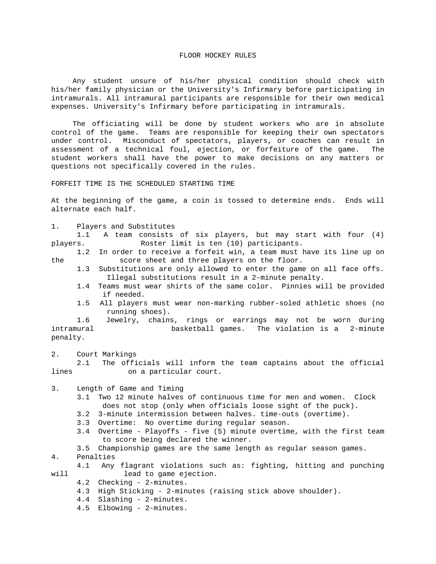## FLOOR HOCKEY RULES

 Any student unsure of his/her physical condition should check with his/her family physician or the University's Infirmary before participating in intramurals. All intramural participants are responsible for their own medical expenses. University's Infirmary before participating in intramurals.

 The officiating will be done by student workers who are in absolute control of the game. Teams are responsible for keeping their own spectators under control. Misconduct of spectators, players, or coaches can result in assessment of a technical foul, ejection, or forfeiture of the game. The student workers shall have the power to make decisions on any matters or questions not specifically covered in the rules.

## FORFEIT TIME IS THE SCHEDULED STARTING TIME

At the beginning of the game, a coin is tossed to determine ends. Ends will alternate each half.

1. Players and Substitutes

 1.1 A team consists of six players, but may start with four (4) players. Roster limit is ten (10) participants.

 1.2 In order to receive a forfeit win, a team must have its line up on the score sheet and three players on the floor.

- 1.3 Substitutions are only allowed to enter the game on all face offs. Illegal substitutions result in a 2-minute penalty.
- 1.4 Teams must wear shirts of the same color. Pinnies will be provided if needed.
- 1.5 All players must wear non-marking rubber-soled athletic shoes (no running shoes).<br>1.6 Jewelry, chain:

1.6 Jewelry, chains, rings or earrings may not be worn during<br>basketball games. The violation is a 2-minute basketball games. The violation is a 2-minute penalty.

2. Court Markings

 2.1 The officials will inform the team captains about the official lines on a particular court.

3. Length of Game and Timing

- 3.1 Two 12 minute halves of continuous time for men and women. Clock does not stop (only when officials loose sight of the puck).
- 3.2 3-minute intermission between halves. time-outs (overtime).
- 3.3 Overtime: No overtime during regular season.
- 3.4 Overtime Playoffs five (5) minute overtime, with the first team to score being declared the winner.
- 3.5 Championship games are the same length as regular season games.<br>4. Penalties

Penalties

- 4.1 Any flagrant violations such as: fighting, hitting and punching<br>will lead to game ejection. lead to game ejection.
	- 4.2 Checking 2-minutes.
	- 4.3 High Sticking 2-minutes (raising stick above shoulder).
	- 4.4 Slashing 2-minutes.
	- 4.5 Elbowing 2-minutes.